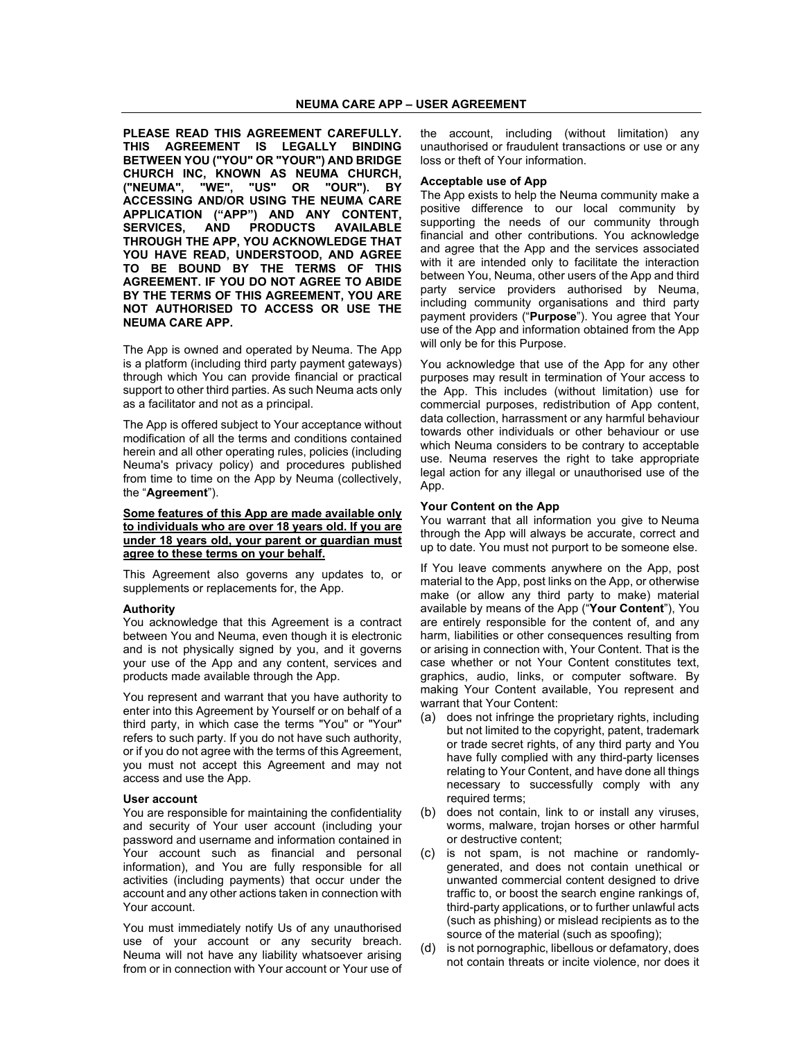**PLEASE READ THIS AGREEMENT CAREFULLY. THIS AGREEMENT IS LEGALLY BINDING BETWEEN YOU ("YOU" OR "YOUR") AND BRIDGE CHURCH INC, KNOWN AS NEUMA CHURCH,**  "WE", "US" OR **ACCESSING AND/OR USING THE NEUMA CARE APPLICATION ("APP") AND ANY CONTENT, SERVICES, AND PRODUCTS AVAILABLE THROUGH THE APP, YOU ACKNOWLEDGE THAT YOU HAVE READ, UNDERSTOOD, AND AGREE TO BE BOUND BY THE TERMS OF THIS AGREEMENT. IF YOU DO NOT AGREE TO ABIDE BY THE TERMS OF THIS AGREEMENT, YOU ARE NOT AUTHORISED TO ACCESS OR USE THE NEUMA CARE APP.** 

The App is owned and operated by Neuma. The App is a platform (including third party payment gateways) through which You can provide financial or practical support to other third parties. As such Neuma acts only as a facilitator and not as a principal.

The App is offered subject to Your acceptance without modification of all the terms and conditions contained herein and all other operating rules, policies (including Neuma's privacy policy) and procedures published from time to time on the App by Neuma (collectively, the "**Agreement**").

**Some features of this App are made available only to individuals who are over 18 years old. If you are under 18 years old, your parent or guardian must agree to these terms on your behalf.** 

This Agreement also governs any updates to, or supplements or replacements for, the App.

#### **Authority**

You acknowledge that this Agreement is a contract between You and Neuma, even though it is electronic and is not physically signed by you, and it governs your use of the App and any content, services and products made available through the App.

You represent and warrant that you have authority to enter into this Agreement by Yourself or on behalf of a third party, in which case the terms "You" or "Your" refers to such party. If you do not have such authority, or if you do not agree with the terms of this Agreement, you must not accept this Agreement and may not access and use the App.

## **User account**

You are responsible for maintaining the confidentiality and security of Your user account (including your password and username and information contained in Your account such as financial and personal information), and You are fully responsible for all activities (including payments) that occur under the account and any other actions taken in connection with Your account.

You must immediately notify Us of any unauthorised use of your account or any security breach. Neuma will not have any liability whatsoever arising from or in connection with Your account or Your use of

the account, including (without limitation) any unauthorised or fraudulent transactions or use or any loss or theft of Your information.

## **Acceptable use of App**

The App exists to help the Neuma community make a positive difference to our local community by supporting the needs of our community through financial and other contributions. You acknowledge and agree that the App and the services associated with it are intended only to facilitate the interaction between You, Neuma, other users of the App and third party service providers authorised by Neuma, including community organisations and third party payment providers ("**Purpose**"). You agree that Your use of the App and information obtained from the App will only be for this Purpose.

You acknowledge that use of the App for any other purposes may result in termination of Your access to the App. This includes (without limitation) use for commercial purposes, redistribution of App content, data collection, harrassment or any harmful behaviour towards other individuals or other behaviour or use which Neuma considers to be contrary to acceptable use. Neuma reserves the right to take appropriate legal action for any illegal or unauthorised use of the App.

## **Your Content on the App**

You warrant that all information you give to Neuma through the App will always be accurate, correct and up to date. You must not purport to be someone else.

If You leave comments anywhere on the App, post material to the App, post links on the App, or otherwise make (or allow any third party to make) material available by means of the App ("**Your Content**"), You are entirely responsible for the content of, and any harm, liabilities or other consequences resulting from or arising in connection with, Your Content. That is the case whether or not Your Content constitutes text, graphics, audio, links, or computer software. By making Your Content available, You represent and warrant that Your Content:

- (a) does not infringe the proprietary rights, including but not limited to the copyright, patent, trademark or trade secret rights, of any third party and You have fully complied with any third-party licenses relating to Your Content, and have done all things necessary to successfully comply with any required terms;
- (b) does not contain, link to or install any viruses, worms, malware, trojan horses or other harmful or destructive content;
- (c) is not spam, is not machine or randomlygenerated, and does not contain unethical or unwanted commercial content designed to drive traffic to, or boost the search engine rankings of, third-party applications, or to further unlawful acts (such as phishing) or mislead recipients as to the source of the material (such as spoofing);
- (d) is not pornographic, libellous or defamatory, does not contain threats or incite violence, nor does it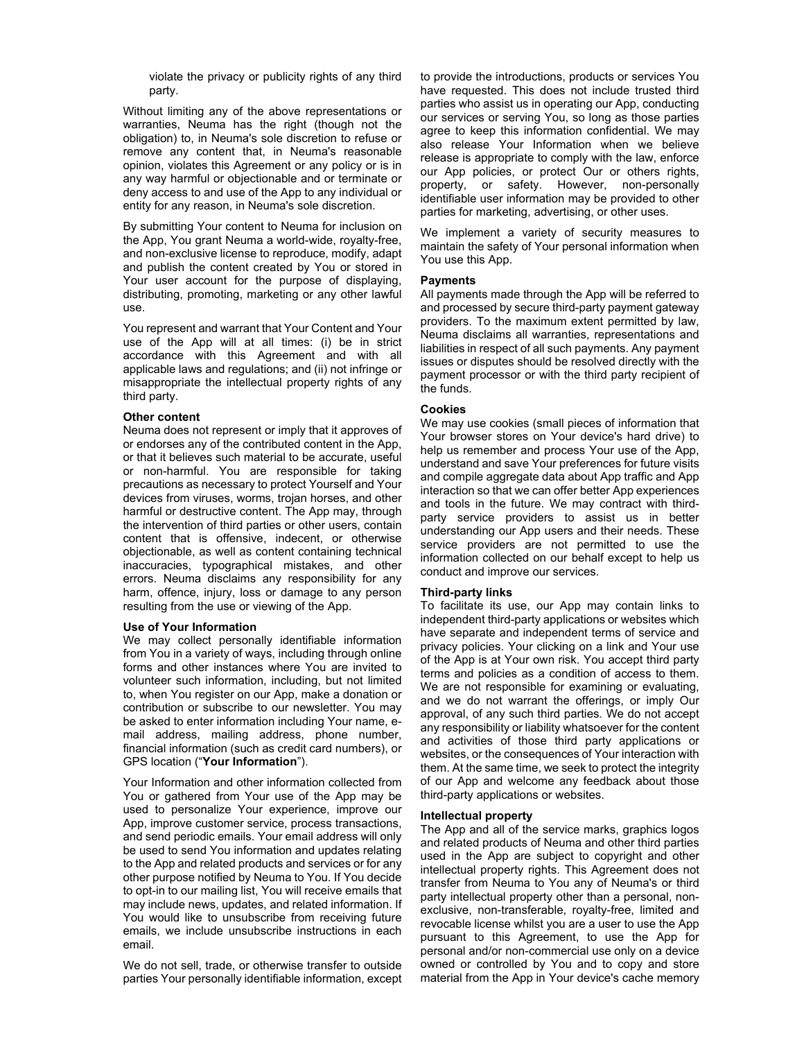violate the privacy or publicity rights of any third party.

Without limiting any of the above representations or warranties. Neuma has the right (though not the obligation) to, in Neuma's sole discretion to refuse or remove any content that, in Neuma's reasonable opinion, violates this Agreement or any policy or is in any way harmful or objectionable and or terminate or deny access to and use of the App to any individual or entity for any reason, in Neuma's sole discretion.

By submitting Your content to Neuma for inclusion on the App, You grant Neuma a world-wide, royalty-free, and non-exclusive license to reproduce, modify, adapt and publish the content created by You or stored in Your user account for the purpose of displaying, distributing, promoting, marketing or any other lawful use.

You represent and warrant that Your Content and Your use of the App will at all times: (i) be in strict accordance with this Agreement and with all applicable laws and regulations; and (ii) not infringe or misappropriate the intellectual property rights of any third party.

### **Other content**

Neuma does not represent or imply that it approves of or endorses any of the contributed content in the App, or that it believes such material to be accurate, useful or non-harmful. You are responsible for taking precautions as necessary to protect Yourself and Your devices from viruses, worms, trojan horses, and other harmful or destructive content. The App may, through the intervention of third parties or other users, contain content that is offensive, indecent, or otherwise objectionable, as well as content containing technical inaccuracies, typographical mistakes, and other errors. Neuma disclaims any responsibility for any harm, offence, injury, loss or damage to any person resulting from the use or viewing of the App.

### **Use of Your Information**

We may collect personally identifiable information from You in a variety of ways, including through online forms and other instances where You are invited to volunteer such information, including, but not limited to, when You register on our App, make a donation or contribution or subscribe to our newsletter. You may be asked to enter information including Your name, email address, mailing address, phone number, financial information (such as credit card numbers), or GPS location ("**Your Information**").

Your Information and other information collected from You or gathered from Your use of the App may be used to personalize Your experience, improve our App, improve customer service, process transactions, and send periodic emails. Your email address will only be used to send You information and updates relating to the App and related products and services or for any other purpose notified by Neuma to You. If You decide to opt-in to our mailing list, You will receive emails that may include news, updates, and related information. If You would like to unsubscribe from receiving future emails, we include unsubscribe instructions in each email.

We do not sell, trade, or otherwise transfer to outside parties Your personally identifiable information, except to provide the introductions, products or services You have requested. This does not include trusted third parties who assist us in operating our App, conducting our services or serving You, so long as those parties agree to keep this information confidential. We may also release Your Information when we believe release is appropriate to comply with the law, enforce our App policies, or protect Our or others rights, property, or safety. However, non-personally identifiable user information may be provided to other parties for marketing, advertising, or other uses.

We implement a variety of security measures to maintain the safety of Your personal information when You use this App.

## **Payments**

All payments made through the App will be referred to and processed by secure third-party payment gateway providers. To the maximum extent permitted by law, Neuma disclaims all warranties, representations and liabilities in respect of all such payments. Any payment issues or disputes should be resolved directly with the payment processor or with the third party recipient of the funds.

# **Cookies**

We may use cookies (small pieces of information that Your browser stores on Your device's hard drive) to help us remember and process Your use of the App, understand and save Your preferences for future visits and compile aggregate data about App traffic and App interaction so that we can offer better App experiences and tools in the future. We may contract with thirdparty service providers to assist us in better understanding our App users and their needs. These service providers are not permitted to use the information collected on our behalf except to help us conduct and improve our services.

### **Third-party links**

To facilitate its use, our App may contain links to independent third-party applications or websites which have separate and independent terms of service and privacy policies. Your clicking on a link and Your use of the App is at Your own risk. You accept third party terms and policies as a condition of access to them. We are not responsible for examining or evaluating, and we do not warrant the offerings, or imply Our approval, of any such third parties*.* We do not accept any responsibility or liability whatsoever for the content and activities of those third party applications or websites, or the consequences of Your interaction with them. At the same time, we seek to protect the integrity of our App and welcome any feedback about those third-party applications or websites.

#### **Intellectual property**

The App and all of the service marks, graphics logos and related products of Neuma and other third parties used in the App are subject to copyright and other intellectual property rights. This Agreement does not transfer from Neuma to You any of Neuma's or third party intellectual property other than a personal, nonexclusive, non-transferable, royalty-free, limited and revocable license whilst you are a user to use the App pursuant to this Agreement, to use the App for personal and/or non-commercial use only on a device owned or controlled by You and to copy and store material from the App in Your device's cache memory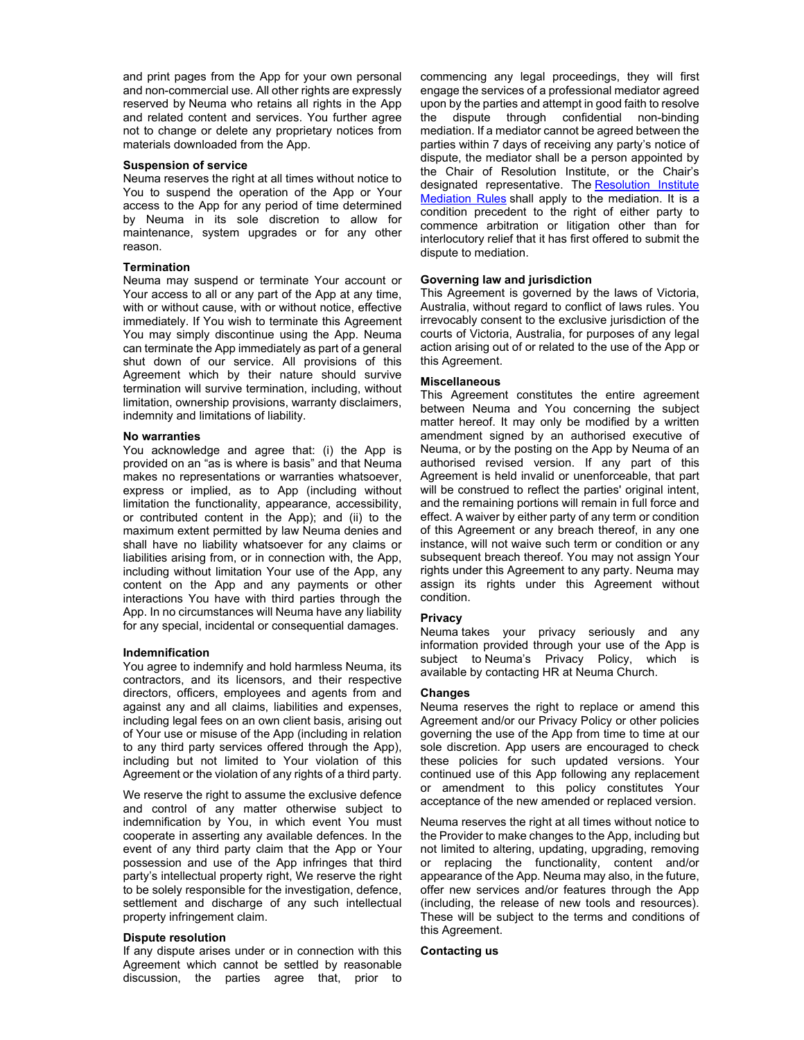and print pages from the App for your own personal and non-commercial use. All other rights are expressly reserved by Neuma who retains all rights in the App and related content and services. You further agree not to change or delete any proprietary notices from materials downloaded from the App.

#### **Suspension of service**

Neuma reserves the right at all times without notice to You to suspend the operation of the App or Your access to the App for any period of time determined by Neuma in its sole discretion to allow for maintenance, system upgrades or for any other reason.

# **Termination**

Neuma may suspend or terminate Your account or Your access to all or any part of the App at any time, with or without cause, with or without notice, effective immediately. If You wish to terminate this Agreement You may simply discontinue using the App. Neuma can terminate the App immediately as part of a general shut down of our service. All provisions of this Agreement which by their nature should survive termination will survive termination, including, without limitation, ownership provisions, warranty disclaimers, indemnity and limitations of liability.

#### **No warranties**

You acknowledge and agree that: (i) the App is provided on an "as is where is basis" and that Neuma makes no representations or warranties whatsoever, express or implied, as to App (including without limitation the functionality, appearance, accessibility, or contributed content in the App); and (ii) to the maximum extent permitted by law Neuma denies and shall have no liability whatsoever for any claims or liabilities arising from, or in connection with, the App, including without limitation Your use of the App, any content on the App and any payments or other interactions You have with third parties through the App. In no circumstances will Neuma have any liability for any special, incidental or consequential damages.

### **Indemnification**

You agree to indemnify and hold harmless Neuma, its contractors, and its licensors, and their respective directors, officers, employees and agents from and against any and all claims, liabilities and expenses, including legal fees on an own client basis, arising out of Your use or misuse of the App (including in relation to any third party services offered through the App), including but not limited to Your violation of this Agreement or the violation of any rights of a third party.

We reserve the right to assume the exclusive defence and control of any matter otherwise subject to indemnification by You, in which event You must cooperate in asserting any available defences. In the event of any third party claim that the App or Your possession and use of the App infringes that third party's intellectual property right, We reserve the right to be solely responsible for the investigation, defence, settlement and discharge of any such intellectual property infringement claim.

### **Dispute resolution**

If any dispute arises under or in connection with this Agreement which cannot be settled by reasonable discussion, the parties agree that, prior to

commencing any legal proceedings, they will first engage the services of a professional mediator agreed upon by the parties and attempt in good faith to resolve the dispute through confidential non-binding mediation. If a mediator cannot be agreed between the parties within 7 days of receiving any party's notice of dispute, the mediator shall be a person appointed by the Chair of Resolution Institute, or the Chair's designated representative. The Resolution Institute Mediation Rules shall apply to the mediation. It is a condition precedent to the right of either party to commence arbitration or litigation other than for interlocutory relief that it has first offered to submit the dispute to mediation.

## **Governing law and jurisdiction**

This Agreement is governed by the laws of Victoria, Australia, without regard to conflict of laws rules. You irrevocably consent to the exclusive jurisdiction of the courts of Victoria, Australia, for purposes of any legal action arising out of or related to the use of the App or this Agreement.

## **Miscellaneous**

This Agreement constitutes the entire agreement between Neuma and You concerning the subject matter hereof. It may only be modified by a written amendment signed by an authorised executive of Neuma, or by the posting on the App by Neuma of an authorised revised version. If any part of this Agreement is held invalid or unenforceable, that part will be construed to reflect the parties' original intent, and the remaining portions will remain in full force and effect. A waiver by either party of any term or condition of this Agreement or any breach thereof, in any one instance, will not waive such term or condition or any subsequent breach thereof. You may not assign Your rights under this Agreement to any party. Neuma may assign its rights under this Agreement without condition.

### **Privacy**

Neuma takes your privacy seriously and any information provided through your use of the App is subject to Neuma's Privacy Policy, which is available by contacting HR at Neuma Church.

## **Changes**

Neuma reserves the right to replace or amend this Agreement and/or our Privacy Policy or other policies governing the use of the App from time to time at our sole discretion. App users are encouraged to check these policies for such updated versions. Your continued use of this App following any replacement or amendment to this policy constitutes Your acceptance of the new amended or replaced version.

Neuma reserves the right at all times without notice to the Provider to make changes to the App, including but not limited to altering, updating, upgrading, removing or replacing the functionality, content and/or appearance of the App. Neuma may also, in the future, offer new services and/or features through the App (including, the release of new tools and resources). These will be subject to the terms and conditions of this Agreement.

## **Contacting us**